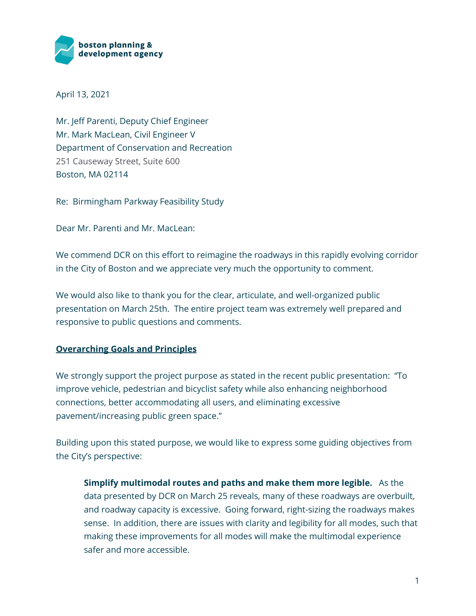

April 13, 2021

Mr. Jeff Parenti, Deputy Chief Engineer Mr. Mark MacLean, Civil Engineer V Department of Conservation and Recreation 251 Causeway Street, Suite 600 Boston, MA 02114

Re: Birmingham Parkway Feasibility Study

Dear Mr. Parenti and Mr. MacLean:

We commend DCR on this effort to reimagine the roadways in this rapidly evolving corridor in the City of Boston and we appreciate very much the opportunity to comment.

We would also like to thank you for the clear, articulate, and well-organized public presentation on March 25th. The entire project team was extremely well prepared and responsive to public questions and comments.

# **Overarching Goals and Principles**

We strongly support the project purpose as stated in the recent public presentation: "To improve vehicle, pedestrian and bicyclist safety while also enhancing neighborhood connections, better accommodating all users, and eliminating excessive pavement/increasing public green space."

Building upon this stated purpose, we would like to express some guiding objectives from the City's perspective:

**Simplify multimodal routes and paths and make them more legible.** As the data presented by DCR on March 25 reveals, many of these roadways are overbuilt, and roadway capacity is excessive. Going forward, right-sizing the roadways makes sense. In addition, there are issues with clarity and legibility for all modes, such that making these improvements for all modes will make the multimodal experience safer and more accessible.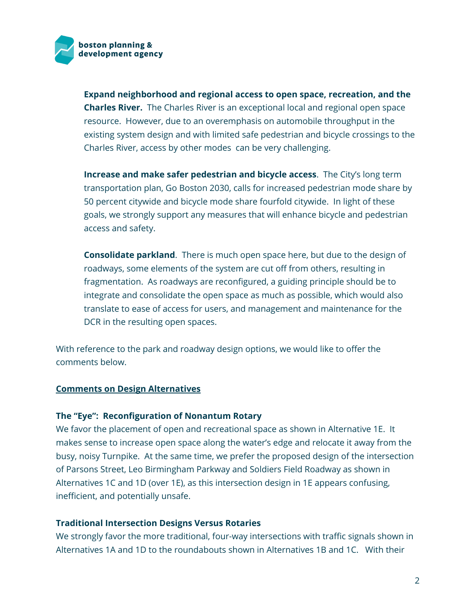

**Expand neighborhood and regional access to open space, recreation, and the Charles River.** The Charles River is an exceptional local and regional open space resource. However, due to an overemphasis on automobile throughput in the existing system design and with limited safe pedestrian and bicycle crossings to the Charles River, access by other modes can be very challenging.

**Increase and make safer pedestrian and bicycle access**. The City's long term transportation plan, Go Boston 2030, calls for increased pedestrian mode share by 50 percent citywide and bicycle mode share fourfold citywide. In light of these goals, we strongly support any measures that will enhance bicycle and pedestrian access and safety.

**Consolidate parkland**. There is much open space here, but due to the design of roadways, some elements of the system are cut off from others, resulting in fragmentation. As roadways are reconfigured, a guiding principle should be to integrate and consolidate the open space as much as possible, which would also translate to ease of access for users, and management and maintenance for the DCR in the resulting open spaces.

With reference to the park and roadway design options, we would like to offer the comments below.

### **Comments on Design Alternatives**

### **The "Eye": Reconfiguration of Nonantum Rotary**

We favor the placement of open and recreational space as shown in Alternative 1E. It makes sense to increase open space along the water's edge and relocate it away from the busy, noisy Turnpike. At the same time, we prefer the proposed design of the intersection of Parsons Street, Leo Birmingham Parkway and Soldiers Field Roadway as shown in Alternatives 1C and 1D (over 1E), as this intersection design in 1E appears confusing, inefficient, and potentially unsafe.

### **Traditional Intersection Designs Versus Rotaries**

We strongly favor the more traditional, four-way intersections with traffic signals shown in Alternatives 1A and 1D to the roundabouts shown in Alternatives 1B and 1C. With their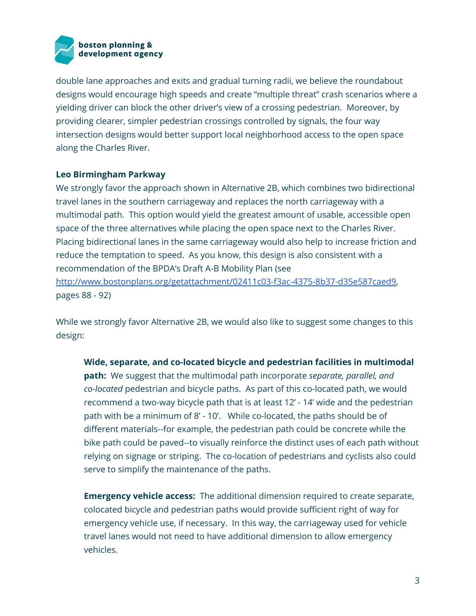

double lane approaches and exits and gradual turning radii, we believe the roundabout designs would encourage high speeds and create "multiple threat" crash scenarios where a yielding driver can block the other driver's view of a crossing pedestrian. Moreover, by providing clearer, simpler pedestrian crossings controlled by signals, the four way intersection designs would better support local neighborhood access to the open space along the Charles River.

## **Leo Birmingham Parkway**

We strongly favor the approach shown in Alternative 2B, which combines two bidirectional travel lanes in the southern carriageway and replaces the north carriageway with a multimodal path. This option would yield the greatest amount of usable, accessible open space of the three alternatives while placing the open space next to the Charles River. Placing bidirectional lanes in the same carriageway would also help to increase friction and reduce the temptation to speed. As you know, this design is also consistent with a recommendation of the BPDA's Draft A-B Mobility Plan (see [http://www.bostonplans.org/getattachment/02411c03-f3ac-4375-8b37-d35e587caed9,](http://www.bostonplans.org/getattachment/02411c03-f3ac-4375-8b37-d35e587caed9) pages 88 - 92)

While we strongly favor Alternative 2B, we would also like to suggest some changes to this design:

**Wide, separate, and co-located bicycle and pedestrian facilities in multimodal path:** We suggest that the multimodal path incorporate *separate, parallel, and co-located* pedestrian and bicycle paths. As part of this co-located path, we would recommend a two-way bicycle path that is at least 12' - 14' wide and the pedestrian path with be a minimum of 8' - 10'. While co-located, the paths should be of different materials--for example, the pedestrian path could be concrete while the bike path could be paved--to visually reinforce the distinct uses of each path without relying on signage or striping. The co-location of pedestrians and cyclists also could serve to simplify the maintenance of the paths.

**Emergency vehicle access:** The additional dimension required to create separate, colocated bicycle and pedestrian paths would provide sufficient right of way for emergency vehicle use, if necessary. In this way, the carriageway used for vehicle travel lanes would not need to have additional dimension to allow emergency vehicles.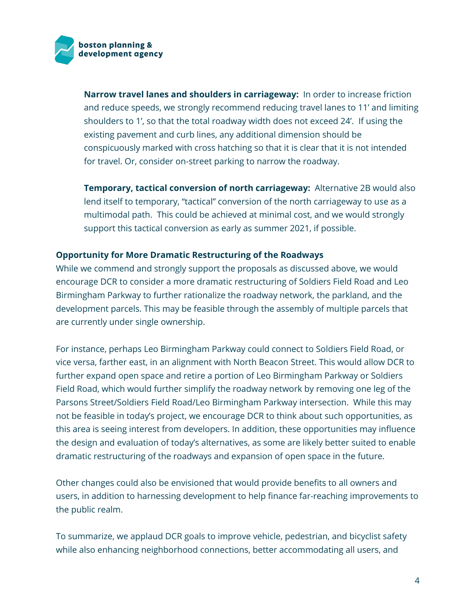

**Narrow travel lanes and shoulders in carriageway:** In order to increase friction and reduce speeds, we strongly recommend reducing travel lanes to 11' and limiting shoulders to 1', so that the total roadway width does not exceed 24'. If using the existing pavement and curb lines, any additional dimension should be conspicuously marked with cross hatching so that it is clear that it is not intended for travel. Or, consider on-street parking to narrow the roadway.

**Temporary, tactical conversion of north carriageway:** Alternative 2B would also lend itself to temporary, "tactical" conversion of the north carriageway to use as a multimodal path. This could be achieved at minimal cost, and we would strongly support this tactical conversion as early as summer 2021, if possible.

### **Opportunity for More Dramatic Restructuring of the Roadways**

While we commend and strongly support the proposals as discussed above, we would encourage DCR to consider a more dramatic restructuring of Soldiers Field Road and Leo Birmingham Parkway to further rationalize the roadway network, the parkland, and the development parcels. This may be feasible through the assembly of multiple parcels that are currently under single ownership.

For instance, perhaps Leo Birmingham Parkway could connect to Soldiers Field Road, or vice versa, farther east, in an alignment with North Beacon Street. This would allow DCR to further expand open space and retire a portion of Leo Birmingham Parkway or Soldiers Field Road, which would further simplify the roadway network by removing one leg of the Parsons Street/Soldiers Field Road/Leo Birmingham Parkway intersection. While this may not be feasible in today's project, we encourage DCR to think about such opportunities, as this area is seeing interest from developers. In addition, these opportunities may influence the design and evaluation of today's alternatives, as some are likely better suited to enable dramatic restructuring of the roadways and expansion of open space in the future.

Other changes could also be envisioned that would provide benefits to all owners and users, in addition to harnessing development to help finance far-reaching improvements to the public realm.

To summarize, we applaud DCR goals to improve vehicle, pedestrian, and bicyclist safety while also enhancing neighborhood connections, better accommodating all users, and